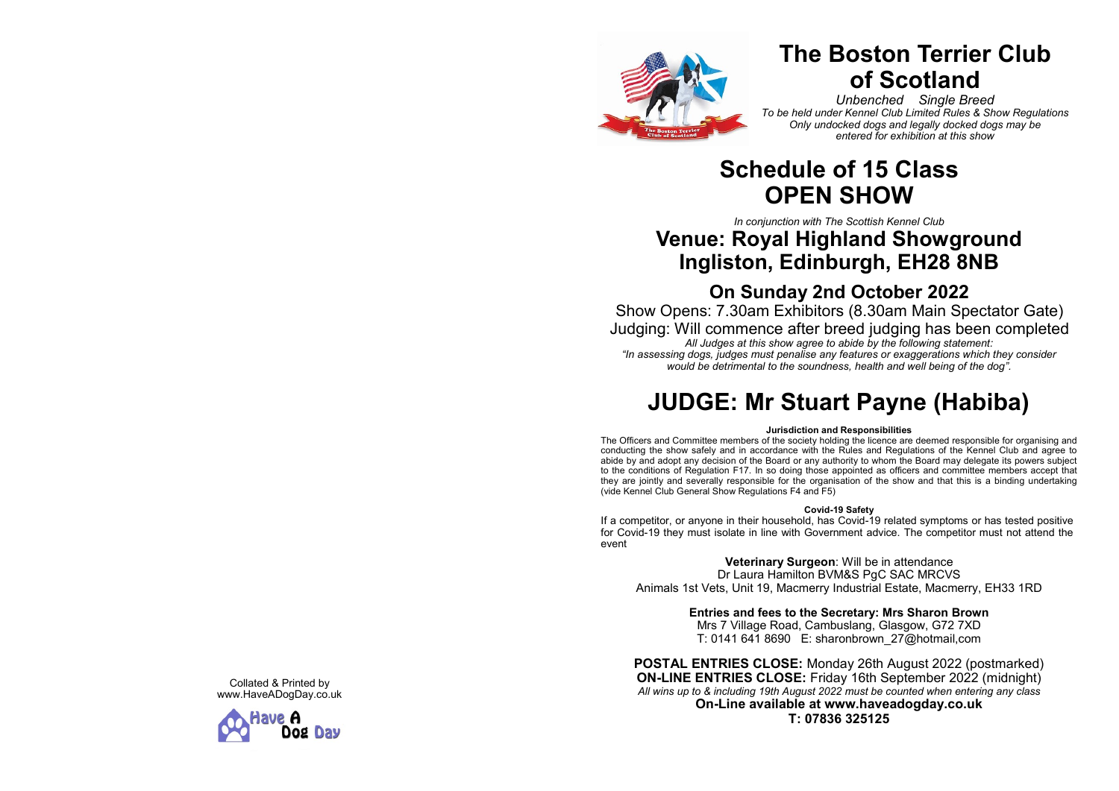

# **The Boston Terrier Club of Scotland**

*Unbenched Single Breed To be held under Kennel Club Limited Rules & Show Regulations Only undocked dogs and legally docked dogs may be entered for exhibition at this show*

## **Schedule of 15 Class OPEN SHOW**

*In conjunction with The Scottish Kennel Club*

## **Venue: Royal Highland Showground Ingliston, Edinburgh, EH28 8NB**

## **On Sunday 2nd October 2022**

Show Opens: 7.30am Exhibitors (8.30am Main Spectator Gate) Judging: Will commence after breed judging has been completed *All Judges at this show agree to abide by the following statement: "In assessing dogs, judges must penalise any features or exaggerations which they consider would be detrimental to the soundness, health and well being of the dog".*

# **JUDGE: Mr Stuart Payne (Habiba)**

### **Jurisdiction and Responsibilities**

The Officers and Committee members of the society holding the licence are deemed responsible for organising and conducting the show safely and in accordance with the Rules and Regulations of the Kennel Club and agree to abide by and adopt any decision of the Board or any authority to whom the Board may delegate its powers subject to the conditions of Regulation F17. In so doing those appointed as officers and committee members accept that they are jointly and severally responsible for the organisation of the show and that this is a binding undertaking (vide Kennel Club General Show Regulations F4 and F5)

### **Covid -19 Safety**

If a competitor, or anyone in their household, has Covid -19 related symptoms or has tested positive for Covid -19 they must isolate in line with Government advice. The competitor must not attend the event

**Veterinary Surgeon**: Will be in attendance Dr Laura Hamilton BVM&S PgC SAC MRCVS Animals 1st Vets, Unit 19, Macmerry Industrial Estate, Macmerry, EH33 1RD

**Entries and fees to the Secretary: Mrs Sharon Brown**

Mrs 7 Village Road, Cambuslang, Glasgow, G72 7XD T: 0141 641 8690 E: sharonbrown\_27@hotmail,com

**POSTAL ENTRIES CLOSE:** Monday 26th August 2022 (postmarked) **ON -LINE ENTRIES CLOSE:** Friday 16th September 2022 (midnight) *All wins up to & including 19th August 2022 must be counted when entering any class* **On -Line available at www.haveadogday.co.uk T: 07836 325125**

Collated & Printed by www.HaveADogDay.co.uk

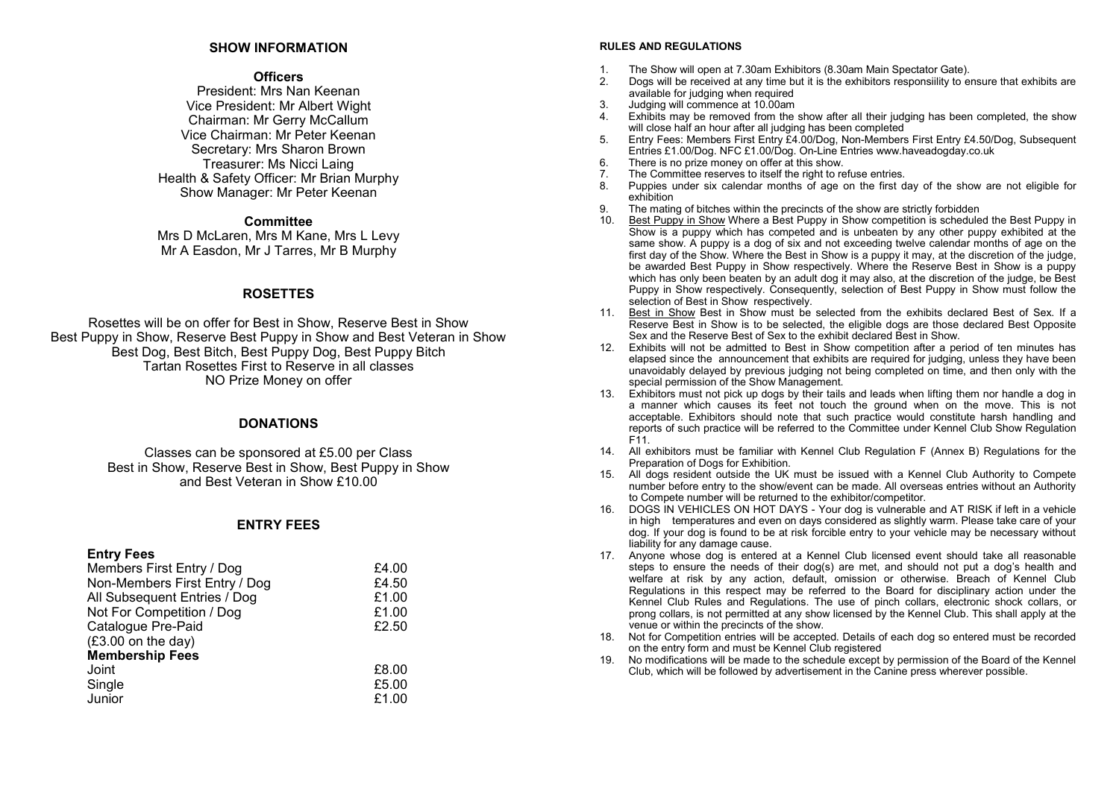### **SHOW INFORMATION**

### **Officers**

President: Mrs Nan Keenan Vice President: Mr Albert Wight Chairman: Mr Gerry McCallum Vice Chairman: Mr Peter Keenan Secretary: Mrs Sharon Brown Treasurer: Ms Nicci Laing Health & Safety Officer: Mr Brian Murphy Show Manager: Mr Peter Keenan

### **Committee**

Mrs D McLaren, Mrs M Kane, Mrs L Levy Mr A Easdon, Mr J Tarres, Mr B Murphy

### **ROSETTES**

Rosettes will be on offer for Best in Show, Reserve Best in Show Best Puppy in Show, Reserve Best Puppy in Show and Best Veteran in Show Best Dog, Best Bitch, Best Puppy Dog, Best Puppy Bitch Tartan Rosettes First to Reserve in all classes NO Prize Money on offer

### **DONATIONS**

Classes can be sponsored at £5.00 per Class Best in Show, Reserve Best in Show, Best Puppy in Show and Best Veteran in Show £10.00

### **ENTRY FEES**

### **Entry Fees**

| Non-Members First Entry / Dog<br>All Subsequent Entries / Dog<br>Not For Competition / Dog<br>Catalogue Pre-Paid<br>$(E3.00 \text{ on the day})$<br><b>Membership Fees</b><br>Joint<br>Single<br>Junior | Members First Entry / Dog | £4.00 |
|---------------------------------------------------------------------------------------------------------------------------------------------------------------------------------------------------------|---------------------------|-------|
|                                                                                                                                                                                                         |                           | £4.50 |
|                                                                                                                                                                                                         |                           | £1.00 |
|                                                                                                                                                                                                         |                           | £1.00 |
|                                                                                                                                                                                                         |                           | £2.50 |
|                                                                                                                                                                                                         |                           |       |
|                                                                                                                                                                                                         |                           |       |
|                                                                                                                                                                                                         |                           | £8.00 |
|                                                                                                                                                                                                         |                           | £5.00 |
|                                                                                                                                                                                                         |                           | £1.00 |

#### **RULES AND REGULATIONS**

- 1. The Show will open at 7.30am Exhibitors (8.30am Main Spectator Gate).
- 2. Dogs will be received at any time but it is the exhibitors responsiility to ensure that exhibits are available for judging when required
- 3. Judging will commence at 10.00am
- 4. Exhibits may be removed from the show after all their judging has been completed, the show will close half an hour after all judging has been completed
- 5. Entry Fees: Members First Entry £4.00/Dog, Non-Members First Entry £4.50/Dog, Subsequent Entries £1.00/Dog. NFC £1.00/Dog. On-Line Entries www.haveadogday.co.uk
- 6. There is no prize money on offer at this show.
- 7. The Committee reserves to itself the right to refuse entries.<br>8. Puppies under six calendar months of age on the first d
- Puppies under six calendar months of age on the first day of the show are not eligible for exhibition
- 9. The mating of bitches within the precincts of the show are strictly forbidden<br>10. Best Punny in Show Where a Best Punny in Show competition is schedule
- Best Puppy in Show Where a Best Puppy in Show competition is scheduled the Best Puppy in Show is a puppy which has competed and is unbeaten by any other puppy exhibited at the same show. A puppy is a dog of six and not exceeding twelve calendar months of age on the first day of the Show. Where the Best in Show is a puppy it may, at the discretion of the judge, be awarded Best Puppy in Show respectively. Where the Reserve Best in Show is a puppy which has only been beaten by an adult dog it may also, at the discretion of the judge, be Best Puppy in Show respectively. Consequently, selection of Best Puppy in Show must follow the selection of Best in Show respectively.
- 11. Best in Show Best in Show must be selected from the exhibits declared Best of Sex. If a Reserve Best in Show is to be selected, the eligible dogs are those declared Best Opposite Sex and the Reserve Best of Sex to the exhibit declared Best in Show.
- 12. Exhibits will not be admitted to Best in Show competition after a period of ten minutes has elapsed since the announcement that exhibits are required for judging, unless they have been unavoidably delayed by previous judging not being completed on time, and then only with the special permission of the Show Management.
- 13. Exhibitors must not pick up dogs by their tails and leads when lifting them nor handle a dog in a manner which causes its feet not touch the ground when on the move. This is not acceptable. Exhibitors should note that such practice would constitute harsh handling and reports of such practice will be referred to the Committee under Kennel Club Show Regulation F11.
- 14. All exhibitors must be familiar with Kennel Club Regulation F (Annex B) Regulations for the Preparation of Dogs for Exhibition.
- 15. All dogs resident outside the UK must be issued with a Kennel Club Authority to Compete number before entry to the show/event can be made. All overseas entries without an Authority to Compete number will be returned to the exhibitor/competitor.
- 16. DOGS IN VEHICLES ON HOT DAYS Your dog is vulnerable and AT RISK if left in a vehicle in high temperatures and even on days considered as slightly warm. Please take care of your dog. If your dog is found to be at risk forcible entry to your vehicle may be necessary without liability for any damage cause.
- 17. Anyone whose dog is entered at a Kennel Club licensed event should take all reasonable steps to ensure the needs of their dog(s) are met, and should not put a dog's health and welfare at risk by any action, default, omission or otherwise. Breach of Kennel Club Regulations in this respect may be referred to the Board for disciplinary action under the Kennel Club Rules and Regulations. The use of pinch collars, electronic shock collars, or prong collars, is not permitted at any show licensed by the Kennel Club. This shall apply at the venue or within the precincts of the show.
- 18. Not for Competition entries will be accepted. Details of each dog so entered must be recorded on the entry form and must be Kennel Club registered
- 19. No modifications will be made to the schedule except by permission of the Board of the Kennel Club, which will be followed by advertisement in the Canine press wherever possible.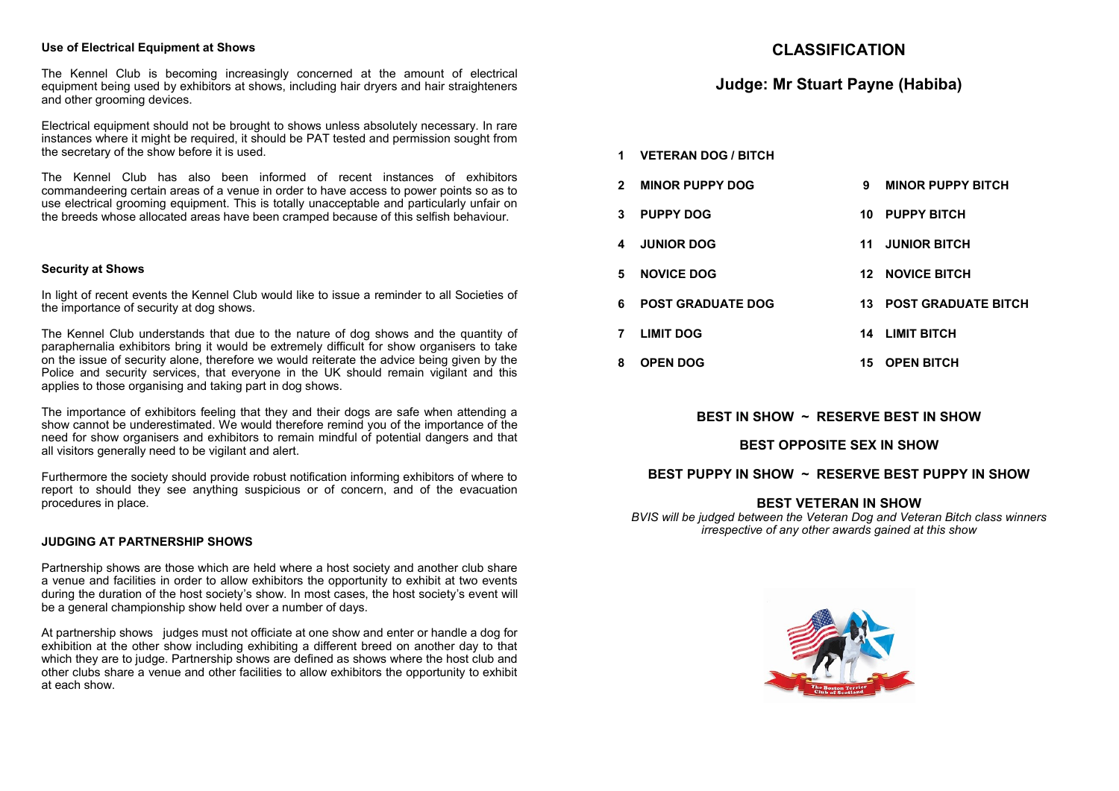### **Use of Electrical Equipment at Shows**

The Kennel Club is becoming increasingly concerned at the amount of electrical equipment being used by exhibitors at shows, including hair dryers and hair straighteners and other grooming devices.

Electrical equipment should not be brought to shows unless absolutely necessary. In rare instances where it might be required, it should be PAT tested and permission sought from the secretary of the show before it is used.

The Kennel Club has also been informed of recent instances of exhibitors commandeering certain areas of a venue in order to have access to power points so as to use electrical grooming equipment. This is totally unacceptable and particularly unfair on the breeds whose allocated areas have been cramped because of this selfish behaviour.

### **Security at Shows**

In light of recent events the Kennel Club would like to issue a reminder to all Societies of the importance of security at dog shows.

The Kennel Club understands that due to the nature of dog shows and the quantity of paraphernalia exhibitors bring it would be extremely difficult for show organisers to take on the issue of security alone, therefore we would reiterate the advice being given by the Police and security services, that everyone in the UK should remain vigilant and this applies to those organising and taking part in dog shows.

The importance of exhibitors feeling that they and their dogs are safe when attending a show cannot be underestimated. We would therefore remind you of the importance of the need for show organisers and exhibitors to remain mindful of potential dangers and that all visitors generally need to be vigilant and alert.

Furthermore the society should provide robust notification informing exhibitors of where to report to should they see anything suspicious or of concern, and of the evacuation procedures in place.

### **JUDGING AT PARTNERSHIP SHOWS**

Partnership shows are those which are held where a host society and another club share a venue and facilities in order to allow exhibitors the opportunity to exhibit at two events during the duration of the host society's show. In most cases, the host society's event will be a general championship show held over a number of days.

At partnership shows judges must not officiate at one show and enter or handle a dog for exhibition at the other show including exhibiting a different breed on another day to that which they are to judge. Partnership shows are defined as shows where the host club and other clubs share a venue and other facilities to allow exhibitors the opportunity to exhibit at each show.

### **CLASSIFICATION**

### **Judge: Mr Stuart Payne (Habiba)**

- **1 VETERAN DOG / BITCH**
- **2 MINOR PUPPY DOG 9 MINOR PUPPY BITCH**
- **3 PUPPY DOG 10 PUPPY BITCH**
- **4 JUNIOR DOG 11 JUNIOR BITCH**
- **5 NOVICE DOG 12 NOVICE BITCH**
- **6 POST GRADUATE DOG 13 POST GRADUATE BITCH**
- **7 LIMIT DOG 14 LIMIT BITCH**
- **8 OPEN DOG 15 OPEN BITCH**

### **BEST IN SHOW ~ RESERVE BEST IN SHOW**

### **BEST OPPOSITE SEX IN SHOW**

### **BEST PUPPY IN SHOW ~ RESERVE BEST PUPPY IN SHOW**

### **BEST VETERAN IN SHOW**

*BVIS will be judged between the Veteran Dog and Veteran Bitch class winners irrespective of any other awards gained at this show* 

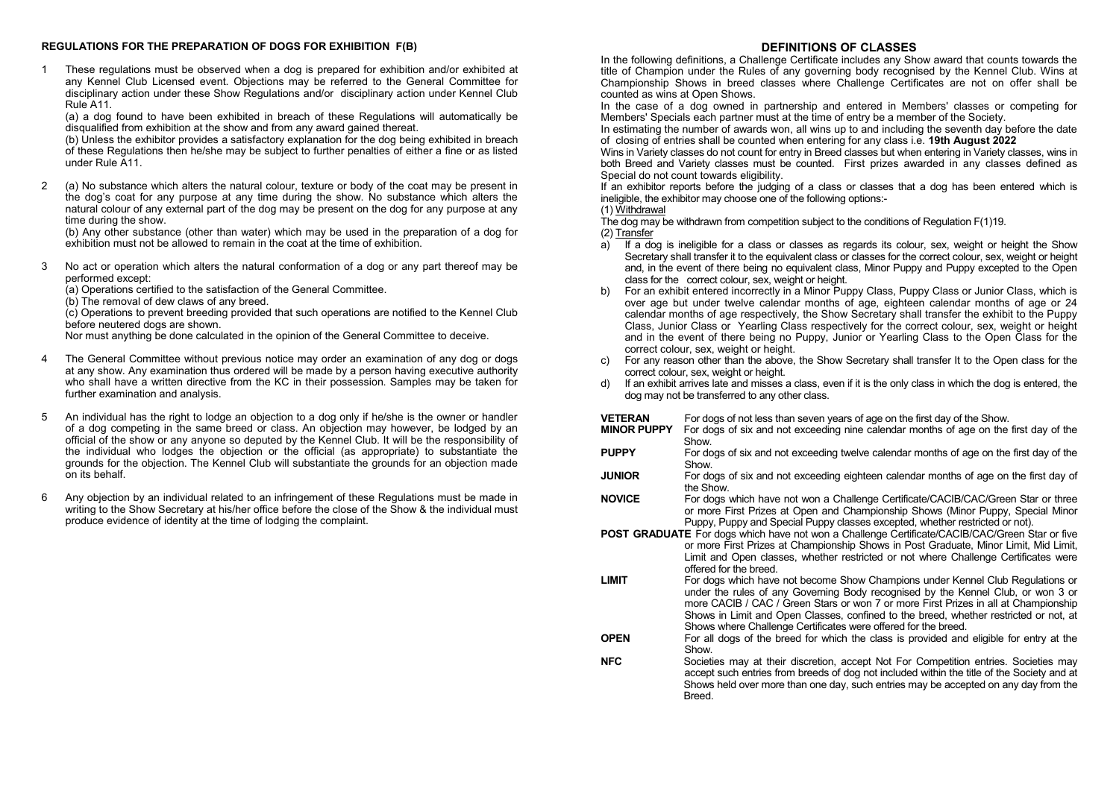#### **REGULATIONS FOR THE PREPARATION OF DOGS FOR EXHIBITION F(B)**

1 These regulations must be observed when a dog is prepared for exhibition and/or exhibited at any Kennel Club Licensed event. Objections may be referred to the General Committee for disciplinary action under these Show Regulations and/or disciplinary action under Kennel Club Rule A11.

(a) a dog found to have been exhibited in breach of these Regulations will automatically be disqualified from exhibition at the show and from any award gained thereat.

(b) Unless the exhibitor provides a satisfactory explanation for the dog being exhibited in breach of these Regulations then he/she may be subject to further penalties of either a fine or as listed under Rule A11.

2 (a) No substance which alters the natural colour, texture or body of the coat may be present in the dog's coat for any purpose at any time during the show. No substance which alters the natural colour of any external part of the dog may be present on the dog for any purpose at any time during the show.

(b) Any other substance (other than water) which may be used in the preparation of a dog for exhibition must not be allowed to remain in the coat at the time of exhibition.

3 No act or operation which alters the natural conformation of a dog or any part thereof may be performed except:

(a) Operations certified to the satisfaction of the General Committee.

(b) The removal of dew claws of any breed.

(c) Operations to prevent breeding provided that such operations are notified to the Kennel Club before neutered dogs are shown.

Nor must anything be done calculated in the opinion of the General Committee to deceive.

- 4 The General Committee without previous notice may order an examination of any dog or dogs at any show. Any examination thus ordered will be made by a person having executive authority who shall have a written directive from the KC in their possession. Samples may be taken for further examination and analysis.
- 5 An individual has the right to lodge an objection to a dog only if he/she is the owner or handler of a dog competing in the same breed or class. An objection may however, be lodged by an official of the show or any anyone so deputed by the Kennel Club. It will be the responsibility of the individual who lodges the objection or the official (as appropriate) to substantiate the grounds for the objection. The Kennel Club will substantiate the grounds for an objection made on its behalf.
- 6 Any objection by an individual related to an infringement of these Regulations must be made in writing to the Show Secretary at his/her office before the close of the Show & the individual must produce evidence of identity at the time of lodging the complaint.

### **DEFINITIONS OF CLASSES**

In the following definitions, a Challenge Certificate includes any Show award that counts towards the title of Champion under the Rules of any governing body recognised by the Kennel Club. Wins at Championship Shows in breed classes where Challenge Certificates are not on offer shall be counted as wins at Open Shows.

In the case of a dog owned in partnership and entered in Members' classes or competing for Members' Specials each partner must at the time of entry be a member of the Society.

In estimating the number of awards won, all wins up to and including the seventh day before the date of closing of entries shall be counted when entering for any class i.e. **19th August 2022**

Wins in Variety classes do not count for entry in Breed classes but when entering in Variety classes, wins in both Breed and Variety classes must be counted. First prizes awarded in any classes defined as Special do not count towards eligibility.

If an exhibitor reports before the judging of a class or classes that a dog has been entered which is ineligible, the exhibitor may choose one of the following options:-

#### (1) Withdrawal

The dog may be withdrawn from competition subject to the conditions of Regulation F(1)19. (2) Transfer

- a) If a dog is ineligible for a class or classes as regards its colour, sex, weight or height the Show Secretary shall transfer it to the equivalent class or classes for the correct colour, sex, weight or height and, in the event of there being no equivalent class, Minor Puppy and Puppy excepted to the Open class for the correct colour, sex, weight or height.
- b) For an exhibit entered incorrectly in a Minor Puppy Class, Puppy Class or Junior Class, which is over age but under twelve calendar months of age, eighteen calendar months of age or 24 calendar months of age respectively, the Show Secretary shall transfer the exhibit to the Puppy Class, Junior Class or Yearling Class respectively for the correct colour, sex, weight or height and in the event of there being no Puppy, Junior or Yearling Class to the Open Class for the correct colour, sex, weight or height.
- For any reason other than the above, the Show Secretary shall transfer It to the Open class for the correct colour, sex, weight or height.
- d) If an exhibit arrives late and misses a class, even if it is the only class in which the dog is entered, the dog may not be transferred to any other class.

| VETERAN | For dogs of not less than seven years of age on the first day of the Show. |
|---------|----------------------------------------------------------------------------|
|---------|----------------------------------------------------------------------------|

- **MINOR PUPPY** For dogs of six and not exceeding nine calendar months of age on the first day of the **Show**
- **PUPPY** For dogs of six and not exceeding twelve calendar months of age on the first day of the **Show.**
- **JUNIOR** For dogs of six and not exceeding eighteen calendar months of age on the first day of the Show.
- **NOVICE** For dogs which have not won a Challenge Certificate/CACIB/CAC/Green Star or three or more First Prizes at Open and Championship Shows (Minor Puppy, Special Minor Puppy, Puppy and Special Puppy classes excepted, whether restricted or not).
- **POST GRADUATE** For dogs which have not won a Challenge Certificate/CACIB/CAC/Green Star or five or more First Prizes at Championship Shows in Post Graduate, Minor Limit, Mid Limit, Limit and Open classes, whether restricted or not where Challenge Certificates were offered for the breed.
- **LIMIT** For dogs which have not become Show Champions under Kennel Club Regulations or under the rules of any Governing Body recognised by the Kennel Club, or won 3 or more CACIB / CAC / Green Stars or won 7 or more First Prizes in all at Championship Shows in Limit and Open Classes, confined to the breed, whether restricted or not, at Shows where Challenge Certificates were offered for the breed.
- **OPEN** For all dogs of the breed for which the class is provided and eligible for entry at the Show.
- **NFC** Societies may at their discretion, accept Not For Competition entries. Societies may accept such entries from breeds of dog not included within the title of the Society and at Shows held over more than one day, such entries may be accepted on any day from the Breed.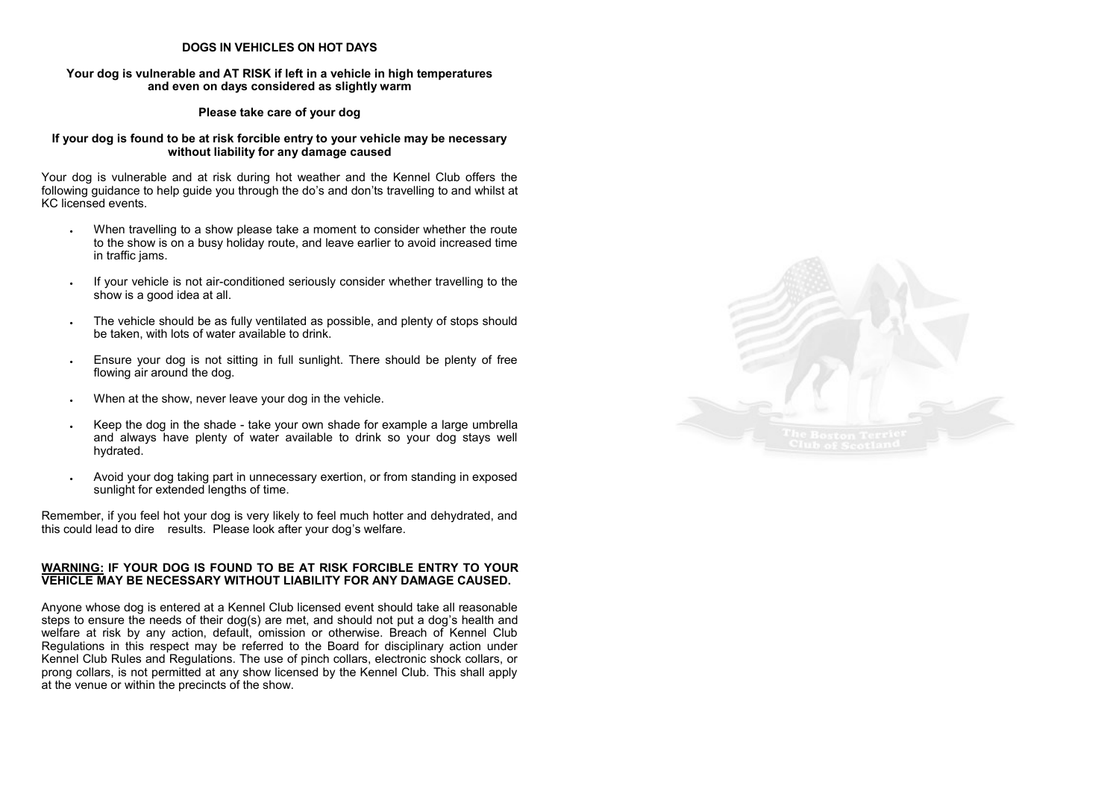### **DOGS IN VEHICLES ON HOT DAYS**

### **Your dog is vulnerable and AT RISK if left in a vehicle in high temperatures and even on days considered as slightly warm**

### **Please take care of your dog**

### **If your dog is found to be at risk forcible entry to your vehicle may be necessary without liability for any damage caused**

Your dog is vulnerable and at risk during hot weather and the Kennel Club offers the following guidance to help guide you through the do's and don'ts travelling to and whilst at KC licensed events.

- When travelling to a show please take a moment to consider whether the route to the show is on a busy holiday route, and leave earlier to avoid increased time in traffic jams.
- If your vehicle is not air-conditioned seriously consider whether travelling to the show is a good idea at all.
- The vehicle should be as fully ventilated as possible, and plenty of stops should be taken, with lots of water available to drink.
- Ensure your dog is not sitting in full sunlight. There should be plenty of free flowing air around the dog.
- When at the show, never leave your dog in the vehicle.
- Keep the dog in the shade take your own shade for example a large umbrella and always have plenty of water available to drink so your dog stays well hydrated.
- Avoid your dog taking part in unnecessary exertion, or from standing in exposed sunlight for extended lengths of time.

Remember, if you feel hot your dog is very likely to feel much hotter and dehydrated, and this could lead to dire results. Please look after your dog's welfare.

### **WARNING: IF YOUR DOG IS FOUND TO BE AT RISK FORCIBLE ENTRY TO YOUR VEHICLE MAY BE NECESSARY WITHOUT LIABILITY FOR ANY DAMAGE CAUSED.**

Anyone whose dog is entered at a Kennel Club licensed event should take all reasonable steps to ensure the needs of their dog(s) are met, and should not put a dog's health and welfare at risk by any action, default, omission or otherwise. Breach of Kennel Club Regulations in this respect may be referred to the Board for disciplinary action under Kennel Club Rules and Regulations. The use of pinch collars, electronic shock collars, or prong collars, is not permitted at any show licensed by the Kennel Club. This shall apply at the venue or within the precincts of the show.